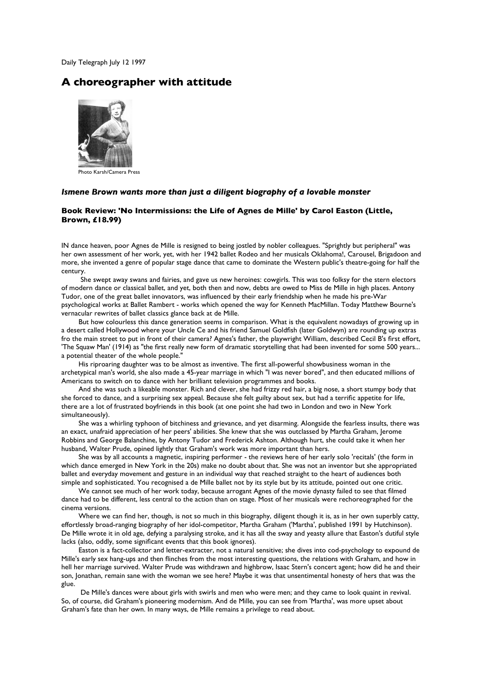Daily Telegraph July 12 1997

## **A choreographer with attitude**



Photo Karsh/Camera Press

## *Ismene Brown wants more than just a diligent biography of a lovable monster*

## **Book Review: 'No Intermissions: the Life of Agnes de Mille' by Carol Easton (Little, Brown, £18.99)**

IN dance heaven, poor Agnes de Mille is resigned to being jostled by nobler colleagues. "Sprightly but peripheral" was her own assessment of her work, yet, with her 1942 ballet Rodeo and her musicals Oklahoma!, Carousel, Brigadoon and more, she invented a genre of popular stage dance that came to dominate the Western public's theatre-going for half the century.

 She swept away swans and fairies, and gave us new heroines: cowgirls. This was too folksy for the stern electors of modern dance or classical ballet, and yet, both then and now, debts are owed to Miss de Mille in high places. Antony Tudor, one of the great ballet innovators, was influenced by their early friendship when he made his pre-War psychological works at Ballet Rambert - works which opened the way for Kenneth MacMillan. Today Matthew Bourne's vernacular rewrites of ballet classics glance back at de Mille.

But how colourless this dance generation seems in comparison. What is the equivalent nowadays of growing up in a desert called Hollywood where your Uncle Ce and his friend Samuel Goldfish (later Goldwyn) are rounding up extras fro the main street to put in front of their camera? Agnes's father, the playwright William, described Cecil B's first effort, 'The Squaw Man' (1914) as "the first really new form of dramatic storytelling that had been invented for some 500 years... a potential theater of the whole people."

His riproaring daughter was to be almost as inventive. The first all-powerful showbusiness woman in the archetypical man's world, she also made a 45-year marriage in which "I was never bored", and then educated millions of Americans to switch on to dance with her brilliant television programmes and books.

And she was such a likeable monster. Rich and clever, she had frizzy red hair, a big nose, a short stumpy body that she forced to dance, and a surprising sex appeal. Because she felt guilty about sex, but had a terrific appetite for life, there are a lot of frustrated boyfriends in this book (at one point she had two in London and two in New York simultaneously).

She was a whirling typhoon of bitchiness and grievance, and yet disarming. Alongside the fearless insults, there was an exact, unafraid appreciation of her peers' abilities. She knew that she was outclassed by Martha Graham, Jerome Robbins and George Balanchine, by Antony Tudor and Frederick Ashton. Although hurt, she could take it when her husband, Walter Prude, opined lightly that Graham's work was more important than hers.

She was by all accounts a magnetic, inspiring performer - the reviews here of her early solo 'recitals' (the form in which dance emerged in New York in the 20s) make no doubt about that. She was not an inventor but she appropriated ballet and everyday movement and gesture in an individual way that reached straight to the heart of audiences both simple and sophisticated. You recognised a de Mille ballet not by its style but by its attitude, pointed out one critic.

We cannot see much of her work today, because arrogant Agnes of the movie dynasty failed to see that filmed dance had to be different, less central to the action than on stage. Most of her musicals were rechoreographed for the cinema versions.

Where we can find her, though, is not so much in this biography, diligent though it is, as in her own superbly catty, effortlessly broad-ranging biography of her idol-competitor, Martha Graham ('Martha', published 1991 by Hutchinson). De Mille wrote it in old age, defying a paralysing stroke, and it has all the sway and yeasty allure that Easton's dutiful style lacks (also, oddly, some significant events that this book ignores).

Easton is a fact-collector and letter-extracter, not a natural sensitive; she dives into cod-psychology to expound de Mille's early sex hang-ups and then flinches from the most interesting questions, the relations with Graham, and how in hell her marriage survived. Walter Prude was withdrawn and highbrow, Isaac Stern's concert agent; how did he and their son, Jonathan, remain sane with the woman we see here? Maybe it was that unsentimental honesty of hers that was the glue.

 De Mille's dances were about girls with swirls and men who were men; and they came to look quaint in revival. So, of course, did Graham's pioneering modernism. And de Mille, you can see from 'Martha', was more upset about Graham's fate than her own. In many ways, de Mille remains a privilege to read about.